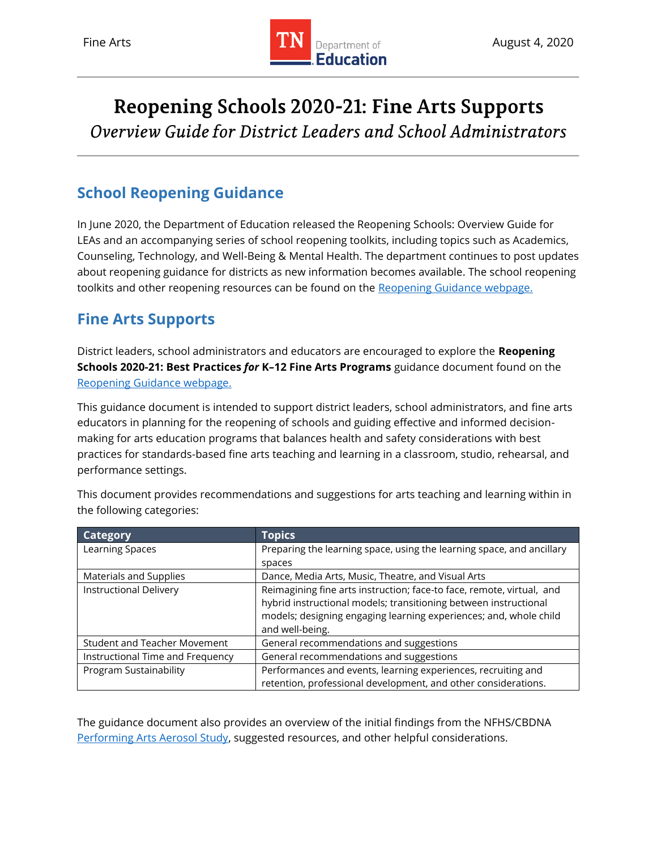

# Reopening Schools 2020-21: Fine Arts Supports Overview Guide for District Leaders and School Administrators

# **School Reopening Guidance**

In June 2020, the Department of Education released the Reopening Schools: Overview Guide for LEAs and an accompanying series of school reopening toolkits, including topics such as Academics, Counseling, Technology, and Well-Being & Mental Health. The department continues to post updates about reopening guidance for districts as new information becomes available. The school reopening toolkits and other reopening resources can be found on the [Reopening Guidance webpage.](https://www.tn.gov/education/health-and-safety/update-on-coronavirus/reopening-guidance.html)

# **Fine Arts Supports**

District leaders, school administrators and educators are encouraged to explore the **Reopening Schools 2020-21: Best Practices** *for* **K–12 Fine Arts Programs** guidance document found on the [Reopening Guidance webpage.](https://www.tn.gov/education/health-and-safety/update-on-coronavirus/reopening-guidance.html)

This guidance document is intended to support district leaders, school administrators, and fine arts educators in planning for the reopening of schools and guiding effective and informed decisionmaking for arts education programs that balances health and safety considerations with best practices for standards-based fine arts teaching and learning in a classroom, studio, rehearsal, and performance settings.

| <b>Category</b>                     | <b>Topics</b>                                                         |
|-------------------------------------|-----------------------------------------------------------------------|
| Learning Spaces                     | Preparing the learning space, using the learning space, and ancillary |
|                                     | spaces                                                                |
| Materials and Supplies              | Dance, Media Arts, Music, Theatre, and Visual Arts                    |
| <b>Instructional Delivery</b>       | Reimagining fine arts instruction; face-to face, remote, virtual, and |
|                                     | hybrid instructional models; transitioning between instructional      |
|                                     | models; designing engaging learning experiences; and, whole child     |
|                                     | and well-being.                                                       |
| <b>Student and Teacher Movement</b> | General recommendations and suggestions                               |
| Instructional Time and Frequency    | General recommendations and suggestions                               |
| Program Sustainability              | Performances and events, learning experiences, recruiting and         |
|                                     | retention, professional development, and other considerations.        |

This document provides recommendations and suggestions for arts teaching and learning within in the following categories:

The guidance document also provides an overview of the initial findings from the NFHS/CBDNA [Performing Arts Aerosol Study,](https://www.nfhs.org/articles/unprecedented-international-coalition-led-by-performing-arts-organizations-to-commission-covid-19-study/) suggested resources, and other helpful considerations.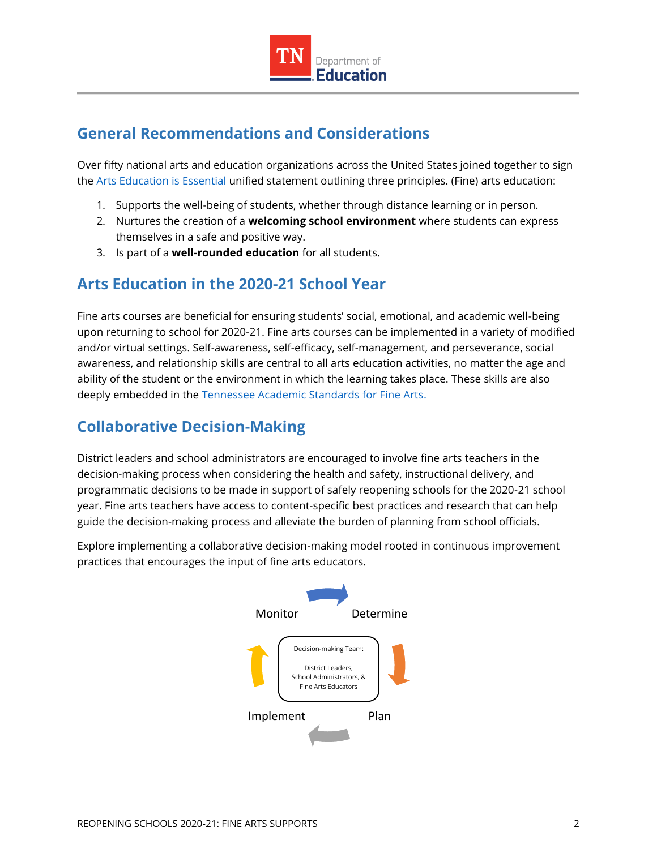

# **General Recommendations and Considerations**

Over fifty national arts and education organizations across the United States joined together to sign the [Arts Education is Essential](https://nafme.org/wp-content/files/2020/05/Arts_Education_Is_Essential-unified-statement-2.pdf) unified statement outlining three principles. (Fine) arts education:

- 1. Supports the well-being of students, whether through distance learning or in person.
- 2. Nurtures the creation of a **welcoming school environment** where students can express themselves in a safe and positive way.
- 3. Is part of a **well-rounded education** for all students.

### **Arts Education in the 2020-21 School Year**

Fine arts courses are beneficial for ensuring students' social, emotional, and academic well-being upon returning to school for 2020-21. Fine arts courses can be implemented in a variety of modified and/or virtual settings. Self-awareness, self-efficacy, self-management, and perseverance, social awareness, and relationship skills are central to all arts education activities, no matter the age and ability of the student or the environment in which the learning takes place. These skills are also deeply embedded in the [Tennessee Academic Standards for Fine Arts.](https://www.tn.gov/education/instruction/academic-standards/arts-education.html)

### **Collaborative Decision-Making**

District leaders and school administrators are encouraged to involve fine arts teachers in the decision-making process when considering the health and safety, instructional delivery, and programmatic decisions to be made in support of safely reopening schools for the 2020-21 school year. Fine arts teachers have access to content-specific best practices and research that can help guide the decision-making process and alleviate the burden of planning from school officials.

Explore implementing a collaborative decision-making model rooted in continuous improvement practices that encourages the input of fine arts educators.

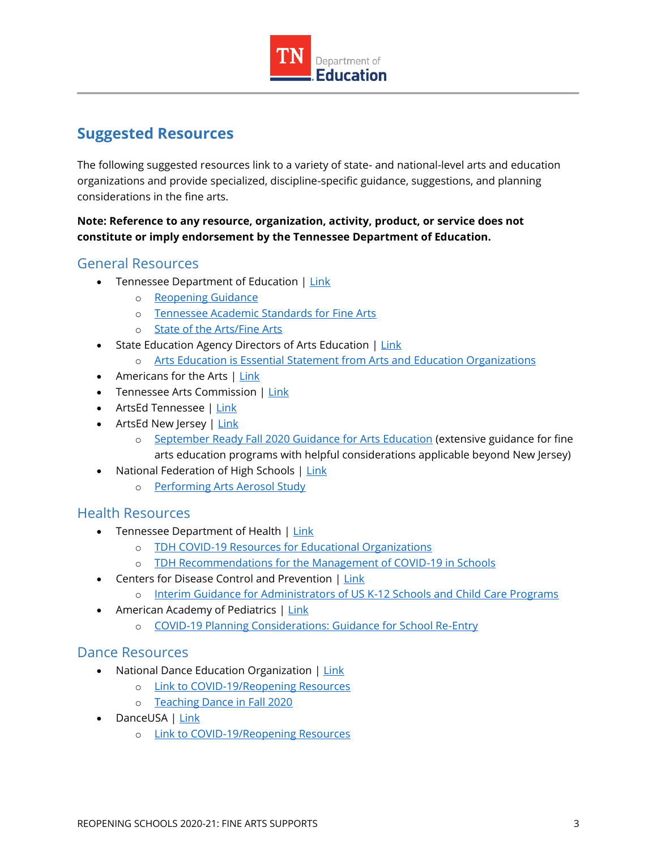

### **Suggested Resources**

The following suggested resources link to a variety of state- and national-level arts and education organizations and provide specialized, discipline-specific guidance, suggestions, and planning considerations in the fine arts.

#### **Note: Reference to any resource, organization, activity, product, or service does not constitute or imply endorsement by the Tennessee Department of Education.**

#### General Resources

- Tennessee Department of Education | [Link](https://www.tn.gov/education)
	- o [Reopening Guidance](https://www.tn.gov/education/health-and-safety/update-on-coronavirus/reopening-guidance.html)
	- o [Tennessee Academic Standards for Fine Arts](https://www.tn.gov/education/instruction/academic-standards/arts-education.html)
	- o [State of the Arts/Fine Arts](https://www.tn.gov/education/state-of-the-arts--sota-.html)
- State Education Agency Directors of Arts Education | [Link](https://www.seadae.org/)
	- o [Arts Education is Essential Statement from Arts and Education Organizations](https://nafme.org/wp-content/files/2020/05/Arts_Education_Is_Essential-unified-statement-2.pdf)
- Americans for the Arts | [Link](https://www.americansforthearts.org/)
- Tennessee Arts Commission | [Link](https://tnartscommission.org/)
- ArtsEd Tennessee | [Link](http://artsedtn.org/)
- ArtsEd New Jersey | [Link](https://www.artsednj.org/)
	- o [September Ready Fall 2020 Guidance for Arts Education](https://www.artsednj.org/arts-ed-nj-issues-september-ready-fall-2020-guidance-for-arts-education/) (extensive guidance for fine arts education programs with helpful considerations applicable beyond New Jersey)
- National Federation of High Schools | [Link](https://www.nfhs.org/articles/unprecedented-international-coalition-led-by-performing-arts-organizations-to-commission-covid-19-study/)
	- o [Performing Arts Aerosol Study](https://www.nfhs.org/articles/unprecedented-international-coalition-led-by-performing-arts-organizations-to-commission-covid-19-study/)

#### Health Resources

- Tennessee Department of Health | [Link](https://www.tn.gov/health/cedep/ncov/educational-orgs.html)
	- o [TDH COVID-19 Resources for Educational Organizations](https://www.tn.gov/health/cedep/ncov/educational-orgs.html)
	- o [TDH Recommendations for the Management of COVID-19 in Schools](https://www.tn.gov/content/dam/tn/health/documents/cedep/novel-coronavirus/School_Recommendations.pdf)
- Centers for Disease Control and Prevention | [Link](https://www.cdc.gov/)
	- o [Interim Guidance for Administrators of US K-12 Schools and Child Care Programs](https://www.cdc.gov/coronavirus/2019-ncov/community/schools-childcare/guidance-for-schools.html?CDC_AA_refVal=https%3A%2F%2Fwww.cdc.gov%2Fcoronavirus%2F2019-ncov%2Fspecific-groups%2Fguidance-for-schools.html)
- American Academy of Pediatrics | [Link](https://www.aap.org/en-us/Pages/Default.aspx)
	- o [COVID-19 Planning Considerations: Guidance for School Re-Entry](https://services.aap.org/en/pages/2019-novel-coronavirus-covid-19-infections/clinical-guidance/covid-19-planning-considerations-return-to-in-person-education-in-schools/)

#### Dance Resources

- National Dance Education Organization | [Link](https://www.ndeo.org/)
	- o [Link to COVID-19/Reopening Resources](https://www.ndeo.org/content.aspx?page_id=22&club_id=893257&module_id=395469)
	- o [Teaching Dance in Fall 2020](https://s3.amazonaws.com/ClubExpressClubFiles/893257/documents/Teaching_Dance_in_Fall_2020_-_Final_7-1-20_388045246.pdf?AWSAccessKeyId=AKIA6MYUE6DNNNCCDT4J&Expires=1595272115&response-content-disposition=inline%3B%20filename%3DTeaching_Dance_in_Fall_2020_-_Final_7-1-20.pdf&Signature=HoK0HLflKef6SWFDP4m%2BI4coZWE%3D)
- DanceUSA | [Link](https://www.danceusa.org/resources-preparing-potential-impact-coronavirus)
	- o [Link to COVID-19/Reopening Resources](https://www.danceusa.org/resources-preparing-potential-impact-coronavirus)